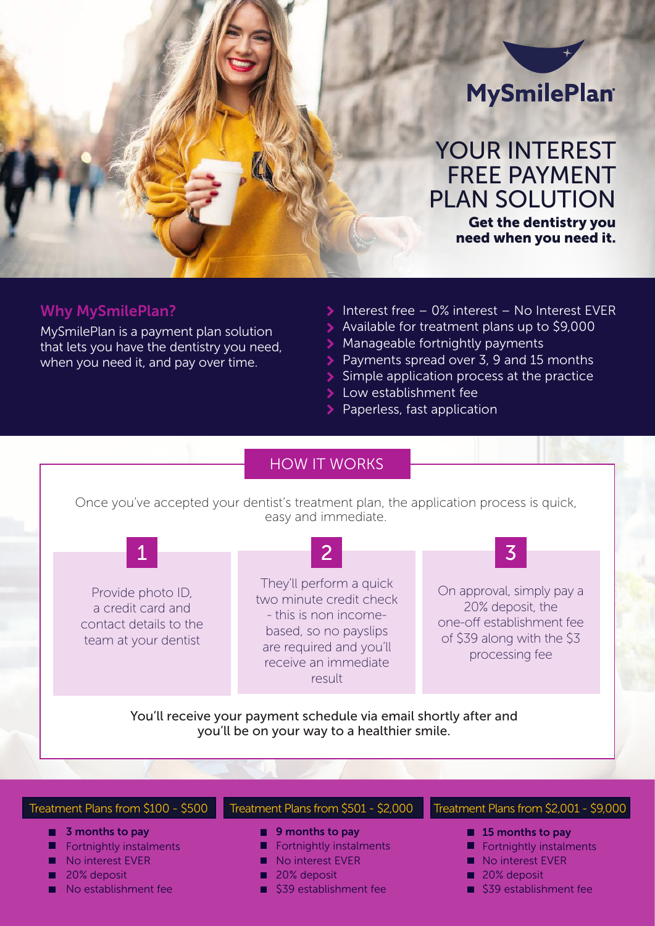# **MySmilePlan**

YOUR INTEREST FREE PAYMENT PLAN SOLUTION Get the dentistry you need when you need it.

# Why MySmilePlan?

MySmilePlan is a payment plan solution that lets you have the dentistry you need, when you need it, and pay over time.

- Interest free 0% interest No Interest EVER
- Available for treatment plans up to \$9,000
- > Manageable fortnightly payments
- Payments spread over 3, 9 and 15 months
- $\blacktriangleright$  Simple application process at the practice
- > Low establishment fee
- > Paperless, fast application

# HOW IT WORKS

Once you've accepted your dentist's treatment plan, the application process is quick, easy and immediate.

Provide photo ID, a credit card and contact details to the team at your dentist

1

2

They'll perform a quick two minute credit check - this is non incomebased, so no payslips are required and you'll receive an immediate result

3

On approval, simply pay a 20% deposit, the one-off establishment fee of \$39 along with the \$3 processing fee

You'll receive your payment schedule via email shortly after and you'll be on your way to a healthier smile.

| Treatment Plans from \$100 - \$500     | Treatment Plans from \$501 - \$2,000   | Treatment Plans from \$2,001 - \$9,000 |  |
|----------------------------------------|----------------------------------------|----------------------------------------|--|
| $\blacksquare$ 3 months to pay         | $\blacksquare$ 9 months to pay         | $\blacksquare$ 15 months to pay        |  |
| $\blacksquare$ Fortnightly instalments | $\blacksquare$ Fortnightly instalments | $\blacksquare$ Fortnightly instalments |  |
| No interest EVER                       | No interest EVER                       | No interest EVER                       |  |
| 20% deposit                            | $\blacksquare$ 20% deposit             | $\blacksquare$ 20% deposit             |  |
| No establishment fee                   | ■ \$39 establishment fee               | S39 establishment fee                  |  |